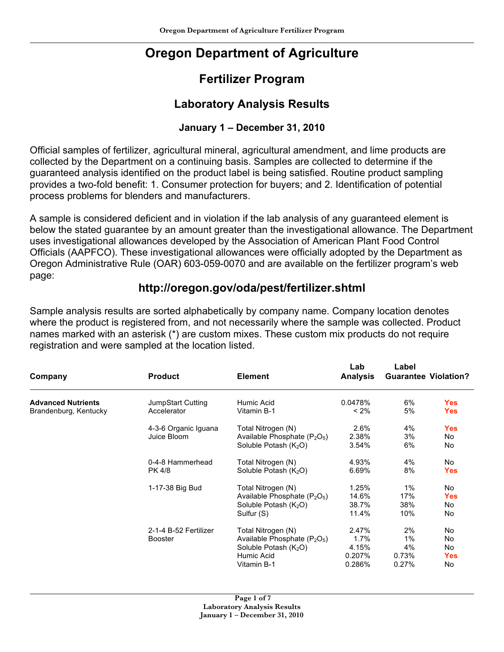# **Oregon Department of Agriculture**

## **Fertilizer Program**

### **Laboratory Analysis Results**

### **January 1 – December 31, 2010**

Official samples of fertilizer, agricultural mineral, agricultural amendment, and lime products are collected by the Department on a continuing basis. Samples are collected to determine if the guaranteed analysis identified on the product label is being satisfied. Routine product sampling provides a two-fold benefit: 1. Consumer protection for buyers; and 2. Identification of potential process problems for blenders and manufacturers.

A sample is considered deficient and in violation if the lab analysis of any guaranteed element is below the stated guarantee by an amount greater than the investigational allowance. The Department uses investigational allowances developed by the Association of American Plant Food Control Officials (AAPFCO). These investigational allowances were officially adopted by the Department as Oregon Administrative Rule (OAR) 603-059-0070 and are available on the fertilizer program's web page:

### **http://oregon.gov/oda/pest/fertilizer.shtml**

Sample analysis results are sorted alphabetically by company name. Company location denotes where the product is registered from, and not necessarily where the sample was collected. Product names marked with an asterisk (\*) are custom mixes. These custom mix products do not require registration and were sampled at the location listed.

| Company                   | <b>Product</b>        | <b>Element</b>                    | Lab<br><b>Analysis</b> | Label | <b>Guarantee Violation?</b> |
|---------------------------|-----------------------|-----------------------------------|------------------------|-------|-----------------------------|
| <b>Advanced Nutrients</b> | JumpStart Cutting     | Humic Acid                        | 0.0478%                | 6%    | <b>Yes</b>                  |
| Brandenburg, Kentucky     | Accelerator           | Vitamin B-1                       | $< 2\%$                | 5%    | <b>Yes</b>                  |
|                           | 4-3-6 Organic Iguana  | Total Nitrogen (N)                | 2.6%                   | 4%    | <b>Yes</b>                  |
|                           | Juice Bloom           | Available Phosphate $(P_2O_5)$    | 2.38%                  | 3%    | No                          |
|                           |                       | Soluble Potash $(K_2O)$           | 3.54%                  | 6%    | No                          |
|                           | 0-4-8 Hammerhead      | Total Nitrogen (N)                | 4.93%                  | 4%    | No.                         |
|                           | PK 4/8                | Soluble Potash (K <sub>2</sub> O) | 6.69%                  | 8%    | <b>Yes</b>                  |
|                           | 1-17-38 Big Bud       | Total Nitrogen (N)                | 1.25%                  | $1\%$ | No.                         |
|                           |                       | Available Phosphate $(P_2O_5)$    | 14.6%                  | 17%   | <b>Yes</b>                  |
|                           |                       | Soluble Potash $(K_2O)$           | 38.7%                  | 38%   | No.                         |
|                           |                       | Sulfur (S)                        | 11.4%                  | 10%   | No.                         |
|                           | 2-1-4 B-52 Fertilizer | Total Nitrogen (N)                | 2.47%                  | 2%    | No.                         |
|                           | <b>Booster</b>        | Available Phosphate $(P_2O_5)$    | 1.7%                   | 1%    | No                          |
|                           |                       | Soluble Potash (K <sub>2</sub> O) | 4.15%                  | 4%    | No.                         |
|                           |                       | Humic Acid                        | $0.207\%$              | 0.73% | <b>Yes</b>                  |
|                           |                       | Vitamin B-1                       | 0.286%                 | 0.27% | No                          |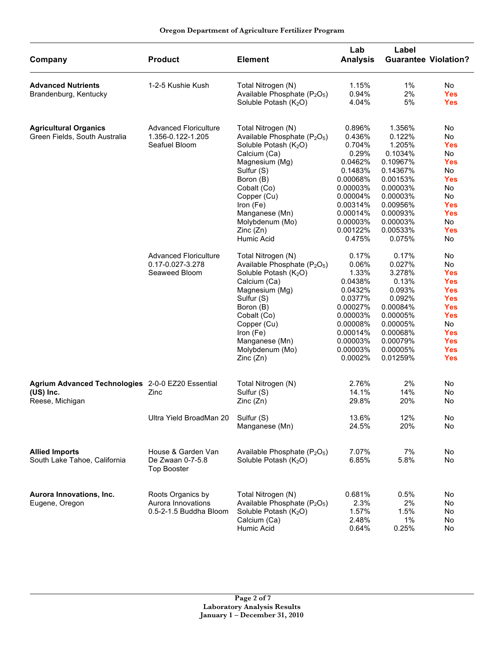| Company                                                                           | <b>Product</b>                                                                          | <b>Element</b>                                                                                                                                                                                                                                                                         | Lab<br><b>Analysis</b>                                                                                                                                  | Label                                                                                                                                                       | <b>Guarantee Violation?</b>                                                                                                                                |
|-----------------------------------------------------------------------------------|-----------------------------------------------------------------------------------------|----------------------------------------------------------------------------------------------------------------------------------------------------------------------------------------------------------------------------------------------------------------------------------------|---------------------------------------------------------------------------------------------------------------------------------------------------------|-------------------------------------------------------------------------------------------------------------------------------------------------------------|------------------------------------------------------------------------------------------------------------------------------------------------------------|
| <b>Advanced Nutrients</b><br>Brandenburg, Kentucky                                | 1-2-5 Kushie Kush                                                                       | Total Nitrogen (N)<br>Available Phosphate (P <sub>2</sub> O <sub>5</sub> )<br>Soluble Potash (K <sub>2</sub> O)                                                                                                                                                                        | 1.15%<br>0.94%<br>4.04%                                                                                                                                 | $1\%$<br>2%<br>5%                                                                                                                                           | No.<br><b>Yes</b><br><b>Yes</b>                                                                                                                            |
| <b>Agricultural Organics</b><br>Green Fields, South Australia                     | <b>Advanced Floriculture</b><br>1.356-0.122-1.205<br>Seafuel Bloom                      | Total Nitrogen (N)<br>Available Phosphate (P <sub>2</sub> O <sub>5</sub> )<br>Soluble Potash (K <sub>2</sub> O)<br>Calcium (Ca)<br>Magnesium (Mg)<br>Sulfur (S)<br>Boron (B)<br>Cobalt (Co)<br>Copper (Cu)<br>Iron (Fe)<br>Manganese (Mn)<br>Molybdenum (Mo)<br>Zinc(Zn)<br>Humic Acid | 0.896%<br>0.436%<br>0.704%<br>0.29%<br>0.0462%<br>0.1483%<br>0.00068%<br>0.00003%<br>0.00004%<br>0.00314%<br>0.00014%<br>0.00003%<br>0.00122%<br>0.475% | 1.356%<br>0.122%<br>1.205%<br>0.1034%<br>0.10967%<br>0.14367%<br>0.00153%<br>0.00003%<br>0.00003%<br>0.00956%<br>0.00093%<br>0.00003%<br>0.00533%<br>0.075% | No<br>No<br><b>Yes</b><br>No<br><b>Yes</b><br>No<br><b>Yes</b><br>No<br>No<br><b>Yes</b><br><b>Yes</b><br>No<br><b>Yes</b><br>No                           |
|                                                                                   | <b>Advanced Floriculture</b><br>0.17-0.027-3.278<br>Seaweed Bloom                       | Total Nitrogen (N)<br>Available Phosphate (P <sub>2</sub> O <sub>5</sub> )<br>Soluble Potash (K <sub>2</sub> O)<br>Calcium (Ca)<br>Magnesium (Mg)<br>Sulfur (S)<br>Boron (B)<br>Cobalt (Co)<br>Copper (Cu)<br>Iron (Fe)<br>Manganese (Mn)<br>Molybdenum (Mo)<br>Zinc(Zn)               | 0.17%<br>0.06%<br>1.33%<br>0.0438%<br>0.0432%<br>0.0377%<br>0.00027%<br>0.00003%<br>0.00008%<br>0.00014%<br>0.00003%<br>0.00003%<br>0.0002%             | 0.17%<br>0.027%<br>3.278%<br>0.13%<br>0.093%<br>0.092%<br>0.00084%<br>0.00005%<br>0.00005%<br>0.00068%<br>0.00079%<br>0.00005%<br>0.01259%                  | No<br>No<br><b>Yes</b><br><b>Yes</b><br><b>Yes</b><br><b>Yes</b><br><b>Yes</b><br><b>Yes</b><br>No<br><b>Yes</b><br><b>Yes</b><br><b>Yes</b><br><b>Yes</b> |
| Agrium Advanced Technologies 2-0-0 EZ20 Essential<br>(US) Inc.<br>Reese, Michigan | Zinc                                                                                    | Total Nitrogen (N)<br>Sulfur (S)<br>Zinc(Zn)                                                                                                                                                                                                                                           | 2.76%<br>14.1%<br>29.8%                                                                                                                                 | 2%<br>14%<br>20%                                                                                                                                            | No<br>No<br>No                                                                                                                                             |
| <b>Allied Imports</b><br>South Lake Tahoe, California                             | Ultra Yield BroadMan 20<br>House & Garden Van<br>De Zwaan 0-7-5.8<br><b>Top Booster</b> | Sulfur (S)<br>Manganese (Mn)<br>Available Phosphate (P <sub>2</sub> O <sub>5</sub> )<br>Soluble Potash (K <sub>2</sub> O)                                                                                                                                                              | 13.6%<br>24.5%<br>7.07%<br>6.85%                                                                                                                        | 12%<br>20%<br>7%<br>5.8%                                                                                                                                    | No<br>No<br>No<br>No                                                                                                                                       |
| Aurora Innovations, Inc.<br>Eugene, Oregon                                        | Roots Organics by<br>Aurora Innovations<br>0.5-2-1.5 Buddha Bloom                       | Total Nitrogen (N)<br>Available Phosphate (P <sub>2</sub> O <sub>5</sub> )<br>Soluble Potash (K <sub>2</sub> O)<br>Calcium (Ca)<br>Humic Acid                                                                                                                                          | 0.681%<br>2.3%<br>1.57%<br>2.48%<br>0.64%                                                                                                               | 0.5%<br>2%<br>1.5%<br>1%<br>0.25%                                                                                                                           | No<br>No<br>No<br>No<br>No                                                                                                                                 |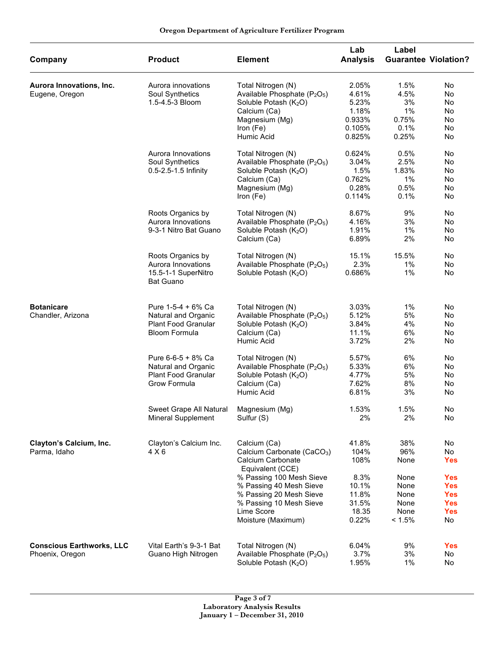| Company                          | <b>Product</b>                          | <b>Element</b>                                              | Lab<br><b>Analysis</b> | Label       | <b>Guarantee Violation?</b> |
|----------------------------------|-----------------------------------------|-------------------------------------------------------------|------------------------|-------------|-----------------------------|
| Aurora Innovations, Inc.         | Aurora innovations                      | Total Nitrogen (N)                                          | 2.05%                  | 1.5%        | No                          |
| Eugene, Oregon                   | Soul Synthetics                         | Available Phosphate (P <sub>2</sub> O <sub>5</sub> )        | 4.61%                  | 4.5%        | No                          |
|                                  | 1.5-4.5-3 Bloom                         | Soluble Potash (K <sub>2</sub> O)                           | 5.23%                  | 3%          | No                          |
|                                  |                                         | Calcium (Ca)                                                | 1.18%                  | 1%          | No                          |
|                                  |                                         | Magnesium (Mg)                                              | 0.933%                 | 0.75%       | No                          |
|                                  |                                         | Iron (Fe)                                                   | 0.105%                 | 0.1%        | No                          |
|                                  |                                         | Humic Acid                                                  | 0.825%                 | 0.25%       | No                          |
|                                  | Aurora Innovations                      | Total Nitrogen (N)                                          | 0.624%                 | 0.5%        | No                          |
|                                  | Soul Synthetics                         | Available Phosphate (P <sub>2</sub> O <sub>5</sub> )        | 3.04%                  | 2.5%        | No                          |
|                                  | 0.5-2.5-1.5 Infinity                    | Soluble Potash (K <sub>2</sub> O)                           | 1.5%                   | 1.83%       | No                          |
|                                  |                                         | Calcium (Ca)                                                | 0.762%                 | $1\%$       | No                          |
|                                  |                                         | Magnesium (Mg)                                              | 0.28%                  | 0.5%        | No                          |
|                                  |                                         | Iron (Fe)                                                   | 0.114%                 | 0.1%        | No                          |
|                                  | Roots Organics by                       | Total Nitrogen (N)                                          | 8.67%                  | 9%          | No                          |
|                                  | Aurora Innovations                      | Available Phosphate (P <sub>2</sub> O <sub>5</sub> )        | 4.16%                  | 3%          | No                          |
|                                  | 9-3-1 Nitro Bat Guano                   | Soluble Potash (K <sub>2</sub> O)                           | 1.91%                  | $1\%$       | No                          |
|                                  |                                         | Calcium (Ca)                                                | 6.89%                  | 2%          | No                          |
|                                  | Roots Organics by                       | Total Nitrogen (N)                                          | 15.1%                  | 15.5%       | No                          |
|                                  | Aurora Innovations                      | Available Phosphate (P <sub>2</sub> O <sub>5</sub> )        | 2.3%                   | $1\%$       | No                          |
|                                  | 15.5-1-1 SuperNitro<br><b>Bat Guano</b> | Soluble Potash (K <sub>2</sub> O)                           | 0.686%                 | 1%          | No                          |
| <b>Botanicare</b>                | Pure 1-5-4 + 6% Ca                      | Total Nitrogen (N)                                          | 3.03%                  | $1\%$       | No                          |
| Chandler, Arizona                | Natural and Organic                     | Available Phosphate (P <sub>2</sub> O <sub>5</sub> )        | 5.12%                  | 5%          | No                          |
|                                  | <b>Plant Food Granular</b>              | Soluble Potash (K <sub>2</sub> O)                           | 3.84%                  | 4%          | No                          |
|                                  | <b>Bloom Formula</b>                    | Calcium (Ca)                                                | 11.1%                  | 6%          | No                          |
|                                  |                                         | Humic Acid                                                  | 3.72%                  | 2%          | No                          |
|                                  | Pure 6-6-5 + 8% Ca                      | Total Nitrogen (N)                                          | 5.57%                  | 6%          | No                          |
|                                  | Natural and Organic                     | Available Phosphate (P <sub>2</sub> O <sub>5</sub> )        | 5.33%                  | 6%          | No                          |
|                                  | <b>Plant Food Granular</b>              | Soluble Potash (K <sub>2</sub> O)                           | 4.77%                  | 5%          | No                          |
|                                  | Grow Formula                            | Calcium (Ca)                                                | 7.62%                  | 8%          | No                          |
|                                  |                                         | Humic Acid                                                  | 6.81%                  | 3%          | No                          |
|                                  |                                         |                                                             |                        |             |                             |
|                                  | Sweet Grape All Natural                 | Magnesium (Mg)                                              | 1.53%                  | 1.5%        | No                          |
|                                  | <b>Mineral Supplement</b>               | Sulfur (S)                                                  | 2%                     | 2%          | No                          |
|                                  |                                         |                                                             |                        |             |                             |
| Clayton's Calcium, Inc.          | Clayton's Calcium Inc.                  | Calcium (Ca)                                                | 41.8%                  | 38%         | No                          |
| Parma, Idaho                     | 4 X6                                    | Calcium Carbonate (CaCO <sub>3</sub> )<br>Calcium Carbonate | 104%<br>108%           | 96%<br>None | No<br><b>Yes</b>            |
|                                  |                                         | Equivalent (CCE)                                            |                        |             |                             |
|                                  |                                         | % Passing 100 Mesh Sieve                                    | 8.3%                   | None        | <b>Yes</b>                  |
|                                  |                                         | % Passing 40 Mesh Sieve                                     | 10.1%                  | None        | <b>Yes</b>                  |
|                                  |                                         | % Passing 20 Mesh Sieve                                     | 11.8%                  | None        | <b>Yes</b>                  |
|                                  |                                         | % Passing 10 Mesh Sieve                                     | 31.5%                  | None        | <b>Yes</b>                  |
|                                  |                                         | Lime Score                                                  | 18.35                  | None        | <b>Yes</b>                  |
|                                  |                                         | Moisture (Maximum)                                          | 0.22%                  | < 1.5%      | No                          |
|                                  |                                         |                                                             |                        |             |                             |
| <b>Conscious Earthworks, LLC</b> | Vital Earth's 9-3-1 Bat                 | Total Nitrogen (N)                                          | 6.04%                  | 9%          | <b>Yes</b>                  |
| Phoenix, Oregon                  | Guano High Nitrogen                     | Available Phosphate (P <sub>2</sub> O <sub>5</sub> )        | 3.7%                   | 3%          | No                          |
|                                  |                                         | Soluble Potash (K2O)                                        | 1.95%                  | 1%          | No                          |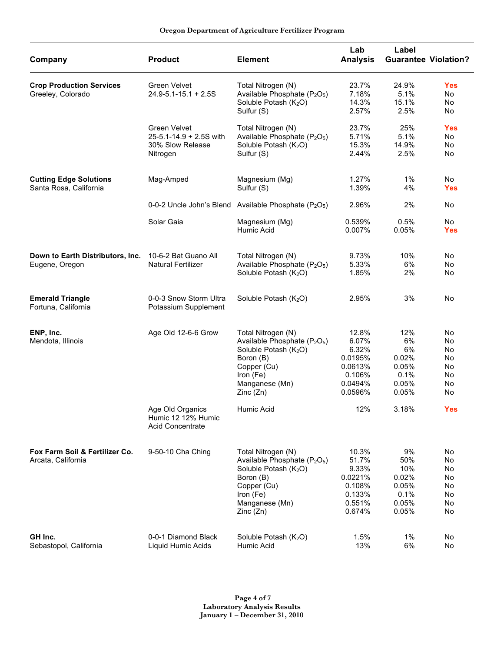#### **Oregon Department of Agriculture Fertilizer Program**

| Company                                                 | <b>Product</b>                                                                       | <b>Element</b>                                                                                                                                                                         | Lab<br><b>Analysis</b>                                                        | Label<br><b>Guarantee Violation?</b>                         |                                               |
|---------------------------------------------------------|--------------------------------------------------------------------------------------|----------------------------------------------------------------------------------------------------------------------------------------------------------------------------------------|-------------------------------------------------------------------------------|--------------------------------------------------------------|-----------------------------------------------|
| <b>Crop Production Services</b><br>Greeley, Colorado    | Green Velvet<br>$24.9 - 5.1 - 15.1 + 2.5S$                                           | Total Nitrogen (N)<br>Available Phosphate (P <sub>2</sub> O <sub>5</sub> )<br>Soluble Potash (K <sub>2</sub> O)<br>Sulfur (S)                                                          | 23.7%<br>7.18%<br>14.3%<br>2.57%                                              | 24.9%<br>5.1%<br>15.1%<br>2.5%                               | <b>Yes</b><br>No<br>No<br>No                  |
|                                                         | <b>Green Velvet</b><br>$25 - 5.1 - 14.9 + 2.5S$ with<br>30% Slow Release<br>Nitrogen | Total Nitrogen (N)<br>Available Phosphate (P <sub>2</sub> O <sub>5</sub> )<br>Soluble Potash (K <sub>2</sub> O)<br>Sulfur (S)                                                          | 23.7%<br>5.71%<br>15.3%<br>2.44%                                              | 25%<br>5.1%<br>14.9%<br>2.5%                                 | <b>Yes</b><br>No<br>No<br>No                  |
| <b>Cutting Edge Solutions</b><br>Santa Rosa, California | Mag-Amped                                                                            | Magnesium (Mg)<br>Sulfur (S)                                                                                                                                                           | 1.27%<br>1.39%                                                                | $1\%$<br>4%                                                  | No.<br><b>Yes</b>                             |
|                                                         |                                                                                      | 0-0-2 Uncle John's Blend Available Phosphate $(P_2O_5)$                                                                                                                                | 2.96%                                                                         | 2%                                                           | No                                            |
|                                                         | Solar Gaia                                                                           | Magnesium (Mg)<br>Humic Acid                                                                                                                                                           | 0.539%<br>0.007%                                                              | 0.5%<br>0.05%                                                | No<br><b>Yes</b>                              |
| Down to Earth Distributors, Inc.<br>Eugene, Oregon      | 10-6-2 Bat Guano All<br><b>Natural Fertilizer</b>                                    | Total Nitrogen (N)<br>Available Phosphate (P <sub>2</sub> O <sub>5</sub> )<br>Soluble Potash (K <sub>2</sub> O)                                                                        | 9.73%<br>5.33%<br>1.85%                                                       | 10%<br>6%<br>2%                                              | No<br>No<br>No                                |
| <b>Emerald Triangle</b><br>Fortuna, California          | 0-0-3 Snow Storm Ultra<br>Potassium Supplement                                       | Soluble Potash $(K_2O)$                                                                                                                                                                | 2.95%                                                                         | 3%                                                           | No                                            |
| ENP, Inc.<br>Mendota, Illinois                          | Age Old 12-6-6 Grow                                                                  | Total Nitrogen (N)<br>Available Phosphate (P <sub>2</sub> O <sub>5</sub> )<br>Soluble Potash (K <sub>2</sub> O)<br>Boron (B)<br>Copper (Cu)<br>Iron (Fe)<br>Manganese (Mn)<br>Zinc(Zn) | 12.8%<br>6.07%<br>6.32%<br>0.0195%<br>0.0613%<br>0.106%<br>0.0494%<br>0.0596% | 12%<br>6%<br>6%<br>0.02%<br>0.05%<br>0.1%<br>0.05%<br>0.05%  | No<br>No<br>No<br>No<br>No<br>No<br>No<br>No  |
|                                                         | Age Old Organics<br>Humic 12 12% Humic<br><b>Acid Concentrate</b>                    | Humic Acid                                                                                                                                                                             | 12%                                                                           | 3.18%                                                        | <b>Yes</b>                                    |
| Fox Farm Soil & Fertilizer Co.<br>Arcata, California    | 9-50-10 Cha Ching                                                                    | Total Nitrogen (N)<br>Available Phosphate (P <sub>2</sub> O <sub>5</sub> )<br>Soluble Potash $(K_2O)$<br>Boron (B)<br>Copper (Cu)<br>Iron (Fe)<br>Manganese (Mn)<br>Zinc(Zn)           | 10.3%<br>51.7%<br>9.33%<br>0.0221%<br>0.108%<br>0.133%<br>0.551%<br>0.674%    | 9%<br>50%<br>10%<br>0.02%<br>0.05%<br>0.1%<br>0.05%<br>0.05% | No<br>No.<br>No<br>No<br>No<br>No<br>No<br>No |
| GH Inc.<br>Sebastopol, California                       | 0-0-1 Diamond Black<br>Liquid Humic Acids                                            | Soluble Potash $(K_2O)$<br>Humic Acid                                                                                                                                                  | 1.5%<br>13%                                                                   | $1\%$<br>6%                                                  | No<br>No                                      |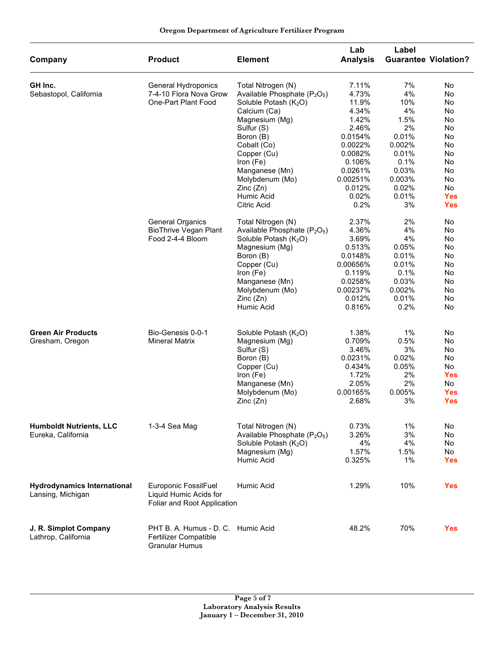| Oregon Department of Agriculture Fertilizer Program |  |
|-----------------------------------------------------|--|
|-----------------------------------------------------|--|

| Company                                                 | <b>Product</b>                                                                       | <b>Element</b>                                       | Lab<br><b>Analysis</b> | Label<br><b>Guarantee Violation?</b> |            |
|---------------------------------------------------------|--------------------------------------------------------------------------------------|------------------------------------------------------|------------------------|--------------------------------------|------------|
| GH Inc.                                                 | General Hydroponics                                                                  | Total Nitrogen (N)                                   | 7.11%                  | 7%                                   | No         |
| Sebastopol, California                                  | 7-4-10 Flora Nova Grow                                                               | Available Phosphate (P <sub>2</sub> O <sub>5</sub> ) | 4.73%                  | 4%                                   | No         |
|                                                         | One-Part Plant Food                                                                  | Soluble Potash (K <sub>2</sub> O)                    | 11.9%                  | 10%                                  | No         |
|                                                         |                                                                                      | Calcium (Ca)                                         | 4.34%                  | 4%                                   | No         |
|                                                         |                                                                                      | Magnesium (Mg)                                       | 1.42%                  | 1.5%                                 | No         |
|                                                         |                                                                                      | Sulfur (S)                                           | 2.46%                  | 2%                                   | No         |
|                                                         |                                                                                      | Boron (B)                                            | 0.0154%                | 0.01%                                | No         |
|                                                         |                                                                                      | Cobalt (Co)                                          | 0.0022%                | 0.002%                               | No         |
|                                                         |                                                                                      | Copper (Cu)                                          | 0.0082%                | 0.01%                                | No         |
|                                                         |                                                                                      | Iron (Fe)                                            | 0.106%                 | 0.1%                                 | No         |
|                                                         |                                                                                      | Manganese (Mn)                                       | 0.0261%                | 0.03%                                | No         |
|                                                         |                                                                                      | Molybdenum (Mo)                                      | 0.00251%               | 0.003%                               | No         |
|                                                         |                                                                                      | Zinc(Zn)                                             | 0.012%                 | 0.02%                                | <b>No</b>  |
|                                                         |                                                                                      | Humic Acid                                           | 0.02%                  | 0.01%                                | <b>Yes</b> |
|                                                         |                                                                                      | Citric Acid                                          | 0.2%                   | 3%                                   | <b>Yes</b> |
|                                                         | <b>General Organics</b>                                                              | Total Nitrogen (N)                                   | 2.37%                  | 2%                                   | No         |
|                                                         | <b>BioThrive Vegan Plant</b>                                                         | Available Phosphate (P <sub>2</sub> O <sub>5</sub> ) | 4.36%                  | 4%                                   | No         |
|                                                         | Food 2-4-4 Bloom                                                                     | Soluble Potash (K <sub>2</sub> O)                    | 3.69%                  | 4%                                   | No         |
|                                                         |                                                                                      | Magnesium (Mg)                                       | 0.513%                 | 0.05%                                | No         |
|                                                         |                                                                                      | Boron (B)                                            | 0.0148%                | 0.01%                                | No         |
|                                                         |                                                                                      | Copper (Cu)                                          | 0.00656%               | 0.01%                                | No         |
|                                                         |                                                                                      | Iron (Fe)                                            | 0.119%                 | 0.1%                                 | No         |
|                                                         |                                                                                      | Manganese (Mn)                                       | 0.0258%                | 0.03%                                | No         |
|                                                         |                                                                                      | Molybdenum (Mo)                                      | 0.00237%               | 0.002%                               | No         |
|                                                         |                                                                                      | Zinc(Zn)                                             | 0.012%                 | 0.01%                                | No         |
|                                                         |                                                                                      | Humic Acid                                           | 0.816%                 | 0.2%                                 | No         |
| <b>Green Air Products</b>                               | Bio-Genesis 0-0-1                                                                    | Soluble Potash (K <sub>2</sub> O)                    | 1.38%                  | 1%                                   | No         |
| Gresham, Oregon                                         | <b>Mineral Matrix</b>                                                                | Magnesium (Mg)                                       | 0.709%                 | 0.5%                                 | No         |
|                                                         |                                                                                      | Sulfur (S)                                           | 3.46%                  | 3%                                   | No         |
|                                                         |                                                                                      | Boron (B)                                            | 0.0231%                | 0.02%                                | No         |
|                                                         |                                                                                      | Copper (Cu)                                          | 0.434%                 | 0.05%                                | <b>No</b>  |
|                                                         |                                                                                      | Iron (Fe)                                            | 1.72%                  | 2%                                   | <b>Yes</b> |
|                                                         |                                                                                      | Manganese (Mn)                                       | 2.05%                  | 2%                                   | No         |
|                                                         |                                                                                      | Molybdenum (Mo)                                      | 0.00165%               | 0.005%                               | <b>Yes</b> |
|                                                         |                                                                                      | Zinc(Zn)                                             | 2.68%                  | 3%                                   | <b>Yes</b> |
|                                                         |                                                                                      |                                                      |                        |                                      |            |
| <b>Humboldt Nutrients, LLC</b>                          | 1-3-4 Sea Mag                                                                        | Total Nitrogen (N)                                   | 0.73%                  | 1%                                   | No         |
| Eureka, California                                      |                                                                                      | Available Phosphate (P <sub>2</sub> O <sub>5</sub> ) | 3.26%                  | 3%                                   | No         |
|                                                         |                                                                                      | Soluble Potash $(K_2O)$                              | 4%                     | 4%                                   | No         |
|                                                         |                                                                                      | Magnesium (Mg)                                       | 1.57%                  | 1.5%                                 | No         |
|                                                         |                                                                                      | Humic Acid                                           | 0.325%                 | 1%                                   | Yes        |
| <b>Hydrodynamics International</b><br>Lansing, Michigan | Europonic FossilFuel<br>Liquid Humic Acids for<br>Foliar and Root Application        | Humic Acid                                           | 1.29%                  | 10%                                  | <b>Yes</b> |
| J. R. Simplot Company<br>Lathrop, California            | PHT B. A. Humus - D. C. Humic Acid<br>Fertilizer Compatible<br><b>Granular Humus</b> |                                                      | 48.2%                  | 70%                                  | <b>Yes</b> |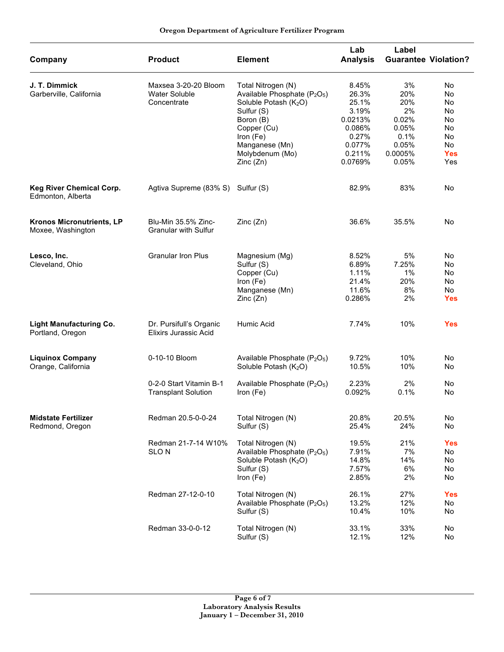| Oregon Department of Agriculture Fertilizer Program |  |  |  |
|-----------------------------------------------------|--|--|--|
|-----------------------------------------------------|--|--|--|

| Company                                              | <b>Product</b>                                              | <b>Element</b>                                                                                                                                                                                                          | Lab<br><b>Analysis</b>                                                                        | Label                                                                         | <b>Guarantee Violation?</b>                                       |
|------------------------------------------------------|-------------------------------------------------------------|-------------------------------------------------------------------------------------------------------------------------------------------------------------------------------------------------------------------------|-----------------------------------------------------------------------------------------------|-------------------------------------------------------------------------------|-------------------------------------------------------------------|
| J. T. Dimmick<br>Garberville, California             | Maxsea 3-20-20 Bloom<br><b>Water Soluble</b><br>Concentrate | Total Nitrogen (N)<br>Available Phosphate (P <sub>2</sub> O <sub>5</sub> )<br>Soluble Potash (K <sub>2</sub> O)<br>Sulfur (S)<br>Boron (B)<br>Copper (Cu)<br>Iron (Fe)<br>Manganese (Mn)<br>Molybdenum (Mo)<br>Zinc(Zn) | 8.45%<br>26.3%<br>25.1%<br>3.19%<br>0.0213%<br>0.086%<br>0.27%<br>0.077%<br>0.211%<br>0.0769% | 3%<br>20%<br>20%<br>2%<br>0.02%<br>0.05%<br>0.1%<br>0.05%<br>0.0005%<br>0.05% | No<br>No<br>No<br>No<br>No<br>No<br>No<br>No<br><b>Yes</b><br>Yes |
| <b>Keg River Chemical Corp.</b><br>Edmonton, Alberta | Agtiva Supreme (83% S)                                      | Sulfur (S)                                                                                                                                                                                                              | 82.9%                                                                                         | 83%                                                                           | No                                                                |
| Kronos Micronutrients, LP<br>Moxee, Washington       | Blu-Min 35.5% Zinc-<br><b>Granular with Sulfur</b>          | Zinc(Zn)                                                                                                                                                                                                                | 36.6%                                                                                         | 35.5%                                                                         | No                                                                |
| Lesco, Inc.<br>Cleveland, Ohio                       | <b>Granular Iron Plus</b>                                   | Magnesium (Mg)<br>Sulfur (S)<br>Copper (Cu)<br>Iron (Fe)<br>Manganese (Mn)<br>Zinc(Zn)                                                                                                                                  | 8.52%<br>6.89%<br>1.11%<br>21.4%<br>11.6%<br>0.286%                                           | 5%<br>7.25%<br>$1\%$<br>20%<br>8%<br>2%                                       | No<br>No<br>No<br>No<br><b>No</b><br><b>Yes</b>                   |
| <b>Light Manufacturing Co.</b><br>Portland, Oregon   | Dr. Pursifull's Organic<br><b>Elixirs Jurassic Acid</b>     | Humic Acid                                                                                                                                                                                                              | 7.74%                                                                                         | 10%                                                                           | <b>Yes</b>                                                        |
| <b>Liquinox Company</b><br>Orange, California        | 0-10-10 Bloom<br>0-2-0 Start Vitamin B-1                    | Available Phosphate (P <sub>2</sub> O <sub>5</sub> )<br>Soluble Potash (K <sub>2</sub> O)                                                                                                                               | 9.72%<br>10.5%<br>2.23%                                                                       | 10%<br>10%<br>2%                                                              | No<br>No<br>No                                                    |
|                                                      | <b>Transplant Solution</b>                                  | Available Phosphate (P <sub>2</sub> O <sub>5</sub> )<br>Iron (Fe)                                                                                                                                                       | 0.092%                                                                                        | 0.1%                                                                          | No                                                                |
| <b>Midstate Fertilizer</b><br>Redmond, Oregon        | Redman 20.5-0-0-24                                          | Total Nitrogen (N)<br>Sulfur (S)                                                                                                                                                                                        | 20.8%<br>25.4%                                                                                | 20.5%<br>24%                                                                  | No<br>No                                                          |
|                                                      | Redman 21-7-14 W10%<br><b>SLON</b>                          | Total Nitrogen (N)<br>Available Phosphate (P <sub>2</sub> O <sub>5</sub> )<br>Soluble Potash (K <sub>2</sub> O)<br>Sulfur (S)<br>Iron (Fe)                                                                              | 19.5%<br>7.91%<br>14.8%<br>7.57%<br>2.85%                                                     | 21%<br>7%<br>14%<br>6%<br>2%                                                  | <b>Yes</b><br>No<br>No<br>No<br>No                                |
|                                                      | Redman 27-12-0-10                                           | Total Nitrogen (N)<br>Available Phosphate (P <sub>2</sub> O <sub>5</sub> )<br>Sulfur (S)                                                                                                                                | 26.1%<br>13.2%<br>10.4%                                                                       | 27%<br>12%<br>10%                                                             | <b>Yes</b><br>No<br>No                                            |
|                                                      | Redman 33-0-0-12                                            | Total Nitrogen (N)<br>Sulfur (S)                                                                                                                                                                                        | 33.1%<br>12.1%                                                                                | 33%<br>12%                                                                    | No<br>No                                                          |